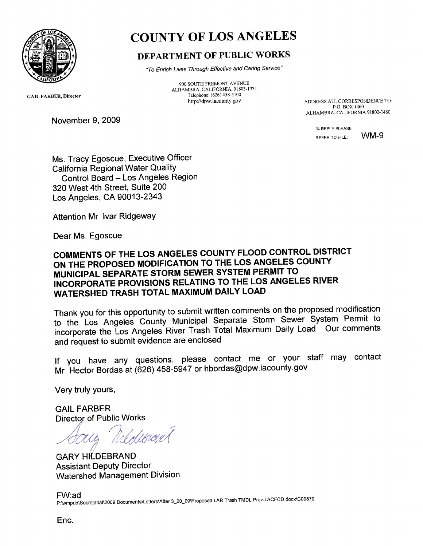

# COUNTY OF LOS ANGELES

## DEPARTMENT OF PUBLIC WORKS

*"To Enrich Lives Through Effective and Caring Service"*

900 SOUTH FREMONT AVENUE ALHAMBRA, CALIFORNIA 91803-1331 Telephone: (626) 458-5100<br>http://dpw.lacounty.gov

GAIL FARBER, Director

November 9, 2009

ADDRESS ALL CORRESPONDENCE TO:<br>P.O. BOX 1460  $P(X, B, C) \geq 0.5$ ALHAMBRA, CALIFORNIA 91802-1460

> IN REPLY PLEASE REFER TO FILE WM-9

Ms. Tracy Egoscue, Executive Officer California Regional Water Quality Control Board — Los Angeles Region 320 West 4th Street, Suite 200 Los Angeles, CA 90013-2343

Attention Mr. Ivar Ridgeway

Dear Ms. Egoscue:

### **COMMENTS OF THE LOS ANGELES COUNTY FLOOD CONTROL DISTRICT ON THE PROPOSED MODIFICATION TO THE LOS ANGELES COUNTY MUNICIPAL SEPARATE STORM SEWER SYSTEM PERMIT TO INCORPORATE PROVISIONS RELATING TO THE LOS ANGELES RIVER WATERSHED TRASH TOTAL MAXIMUM DAILY LOAD**

Thank you for this opportunity to submit written comments on the proposed modification to the Los Angeles County Municipal Separate Storm Sewer System Permit to incorporate the Los Angeles River Trash Total Maximum Daily Load. Our comments and request to submit evidence are enclosed

If you have any questions, please contact me or your staff may contact Mr. Hector Bordas at (626) 458-5947 or hbordas@dpw.lacounty.gov .

Very truly yours,

GAIL FARBER Director of Public Works

*2(,,,rfteff/(*

**GARY HILDEBRAND** Assistant Deputy Director Watershed Management Division

FW:ad P:\wmpub\Secretarial\2009 Documents\Letters\After 3\_20\_09\Proposed LAR Trash TMDL Prov-LACFCD.docx\C09570

Enc.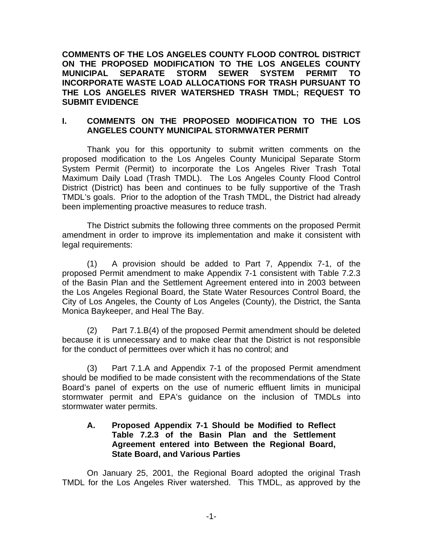**COMMENTS OF THE LOS ANGELES COUNTY FLOOD CONTROL DISTRICT ON THE PROPOSED MODIFICATION TO THE LOS ANGELES COUNTY MUNICIPAL SEPARATE STORM SEWER SYSTEM PERMIT TO INCORPORATE WASTE LOAD ALLOCATIONS FOR TRASH PURSUANT TO THE LOS ANGELES RIVER WATERSHED TRASH TMDL; REQUEST TO SUBMIT EVIDENCE** 

#### **I. COMMENTS ON THE PROPOSED MODIFICATION TO THE LOS ANGELES COUNTY MUNICIPAL STORMWATER PERMIT**

Thank you for this opportunity to submit written comments on the proposed modification to the Los Angeles County Municipal Separate Storm System Permit (Permit) to incorporate the Los Angeles River Trash Total Maximum Daily Load (Trash TMDL). The Los Angeles County Flood Control District (District) has been and continues to be fully supportive of the Trash TMDL's goals. Prior to the adoption of the Trash TMDL, the District had already been implementing proactive measures to reduce trash.

 The District submits the following three comments on the proposed Permit amendment in order to improve its implementation and make it consistent with legal requirements:

 (1) A provision should be added to Part 7, Appendix 7-1, of the proposed Permit amendment to make Appendix 7-1 consistent with Table 7.2.3 of the Basin Plan and the Settlement Agreement entered into in 2003 between the Los Angeles Regional Board, the State Water Resources Control Board, the City of Los Angeles, the County of Los Angeles (County), the District, the Santa Monica Baykeeper, and Heal The Bay.

 (2) Part 7.1.B(4) of the proposed Permit amendment should be deleted because it is unnecessary and to make clear that the District is not responsible for the conduct of permittees over which it has no control; and

 (3) Part 7.1.A and Appendix 7-1 of the proposed Permit amendment should be modified to be made consistent with the recommendations of the State Board's panel of experts on the use of numeric effluent limits in municipal stormwater permit and EPA's guidance on the inclusion of TMDLs into stormwater water permits.

#### **A. Proposed Appendix 7-1 Should be Modified to Reflect Table 7.2.3 of the Basin Plan and the Settlement Agreement entered into Between the Regional Board, State Board, and Various Parties**

 On January 25, 2001, the Regional Board adopted the original Trash TMDL for the Los Angeles River watershed. This TMDL, as approved by the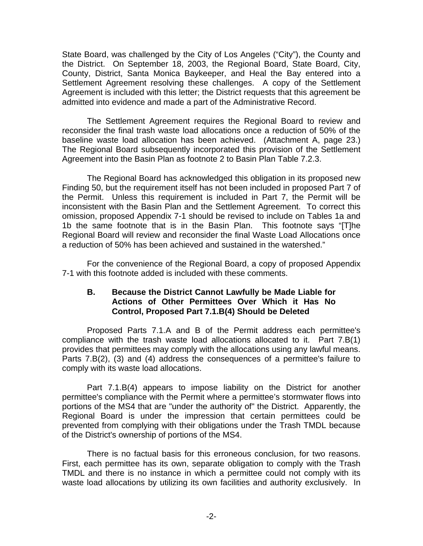State Board, was challenged by the City of Los Angeles ("City"), the County and the District. On September 18, 2003, the Regional Board, State Board, City, County, District, Santa Monica Baykeeper, and Heal the Bay entered into a Settlement Agreement resolving these challenges. A copy of the Settlement Agreement is included with this letter; the District requests that this agreement be admitted into evidence and made a part of the Administrative Record.

The Settlement Agreement requires the Regional Board to review and reconsider the final trash waste load allocations once a reduction of 50% of the baseline waste load allocation has been achieved. (Attachment A, page 23.) The Regional Board subsequently incorporated this provision of the Settlement Agreement into the Basin Plan as footnote 2 to Basin Plan Table 7.2.3.

The Regional Board has acknowledged this obligation in its proposed new Finding 50, but the requirement itself has not been included in proposed Part 7 of the Permit. Unless this requirement is included in Part 7, the Permit will be inconsistent with the Basin Plan and the Settlement Agreement. To correct this omission, proposed Appendix 7-1 should be revised to include on Tables 1a and 1b the same footnote that is in the Basin Plan. This footnote says "[T]he Regional Board will review and reconsider the final Waste Load Allocations once a reduction of 50% has been achieved and sustained in the watershed."

For the convenience of the Regional Board, a copy of proposed Appendix 7-1 with this footnote added is included with these comments.

#### **B. Because the District Cannot Lawfully be Made Liable for Actions of Other Permittees Over Which it Has No Control, Proposed Part 7.1.B(4) Should be Deleted**

Proposed Parts 7.1.A and B of the Permit address each permittee's compliance with the trash waste load allocations allocated to it. Part 7.B(1) provides that permittees may comply with the allocations using any lawful means. Parts 7.B(2), (3) and (4) address the consequences of a permittee's failure to comply with its waste load allocations.

 Part 7.1.B(4) appears to impose liability on the District for another permittee's compliance with the Permit where a permittee's stormwater flows into portions of the MS4 that are "under the authority of" the District. Apparently, the Regional Board is under the impression that certain permittees could be prevented from complying with their obligations under the Trash TMDL because of the District's ownership of portions of the MS4.

 There is no factual basis for this erroneous conclusion, for two reasons. First, each permittee has its own, separate obligation to comply with the Trash TMDL and there is no instance in which a permittee could not comply with its waste load allocations by utilizing its own facilities and authority exclusively. In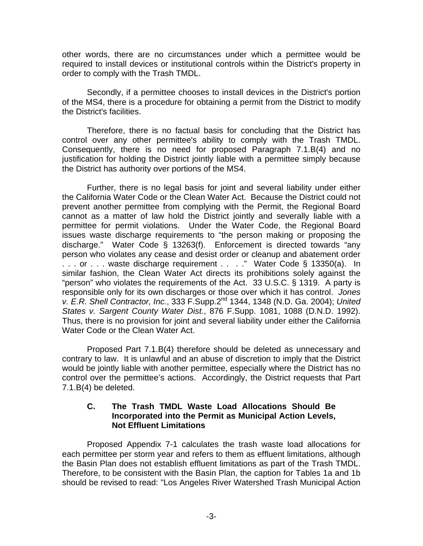other words, there are no circumstances under which a permittee would be required to install devices or institutional controls within the District's property in order to comply with the Trash TMDL.

 Secondly, if a permittee chooses to install devices in the District's portion of the MS4, there is a procedure for obtaining a permit from the District to modify the District's facilities.

 Therefore, there is no factual basis for concluding that the District has control over any other permittee's ability to comply with the Trash TMDL. Consequently, there is no need for proposed Paragraph 7.1.B(4) and no justification for holding the District jointly liable with a permittee simply because the District has authority over portions of the MS4.

Further, there is no legal basis for joint and several liability under either the California Water Code or the Clean Water Act. Because the District could not prevent another permittee from complying with the Permit, the Regional Board cannot as a matter of law hold the District jointly and severally liable with a permittee for permit violations. Under the Water Code, the Regional Board issues waste discharge requirements to "the person making or proposing the discharge." Water Code § 13263(f). Enforcement is directed towards "any person who violates any cease and desist order or cleanup and abatement order . . . or . . . waste discharge requirement . . . ." Water Code § 13350(a). In similar fashion, the Clean Water Act directs its prohibitions solely against the "person" who violates the requirements of the Act. 33 U.S.C. § 1319. A party is responsible only for its own discharges or those over which it has control. *Jones v. E.R. Shell Contractor, Inc.*, 333 F.Supp.2nd 1344, 1348 (N.D. Ga. 2004); *United States v. Sargent County Water Dist.*, 876 F.Supp. 1081, 1088 (D.N.D. 1992). Thus, there is no provision for joint and several liability under either the California Water Code or the Clean Water Act.

 Proposed Part 7.1.B(4) therefore should be deleted as unnecessary and contrary to law. It is unlawful and an abuse of discretion to imply that the District would be jointly liable with another permittee, especially where the District has no control over the permittee's actions. Accordingly, the District requests that Part 7.1.B(4) be deleted.

#### **C. The Trash TMDL Waste Load Allocations Should Be Incorporated into the Permit as Municipal Action Levels, Not Effluent Limitations**

Proposed Appendix 7-1 calculates the trash waste load allocations for each permittee per storm year and refers to them as effluent limitations, although the Basin Plan does not establish effluent limitations as part of the Trash TMDL. Therefore, to be consistent with the Basin Plan, the caption for Tables 1a and 1b should be revised to read: "Los Angeles River Watershed Trash Municipal Action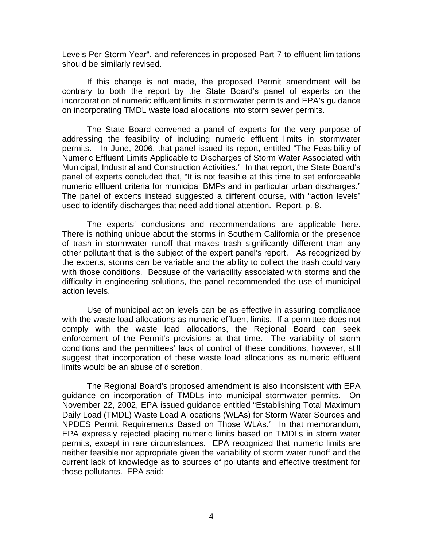Levels Per Storm Year", and references in proposed Part 7 to effluent limitations should be similarly revised.

If this change is not made, the proposed Permit amendment will be contrary to both the report by the State Board's panel of experts on the incorporation of numeric effluent limits in stormwater permits and EPA's guidance on incorporating TMDL waste load allocations into storm sewer permits.

The State Board convened a panel of experts for the very purpose of addressing the feasibility of including numeric effluent limits in stormwater permits. In June, 2006, that panel issued its report, entitled "The Feasibility of Numeric Effluent Limits Applicable to Discharges of Storm Water Associated with Municipal, Industrial and Construction Activities." In that report, the State Board's panel of experts concluded that, "It is not feasible at this time to set enforceable numeric effluent criteria for municipal BMPs and in particular urban discharges." The panel of experts instead suggested a different course, with "action levels" used to identify discharges that need additional attention. Report, p. 8.

The experts' conclusions and recommendations are applicable here. There is nothing unique about the storms in Southern California or the presence of trash in stormwater runoff that makes trash significantly different than any other pollutant that is the subject of the expert panel's report. As recognized by the experts, storms can be variable and the ability to collect the trash could vary with those conditions. Because of the variability associated with storms and the difficulty in engineering solutions, the panel recommended the use of municipal action levels.

Use of municipal action levels can be as effective in assuring compliance with the waste load allocations as numeric effluent limits. If a permittee does not comply with the waste load allocations, the Regional Board can seek enforcement of the Permit's provisions at that time. The variability of storm conditions and the permittees' lack of control of these conditions, however, still suggest that incorporation of these waste load allocations as numeric effluent limits would be an abuse of discretion.

The Regional Board's proposed amendment is also inconsistent with EPA guidance on incorporation of TMDLs into municipal stormwater permits. On November 22, 2002, EPA issued guidance entitled "Establishing Total Maximum Daily Load (TMDL) Waste Load Allocations (WLAs) for Storm Water Sources and NPDES Permit Requirements Based on Those WLAs." In that memorandum, EPA expressly rejected placing numeric limits based on TMDLs in storm water permits, except in rare circumstances. EPA recognized that numeric limits are neither feasible nor appropriate given the variability of storm water runoff and the current lack of knowledge as to sources of pollutants and effective treatment for those pollutants. EPA said: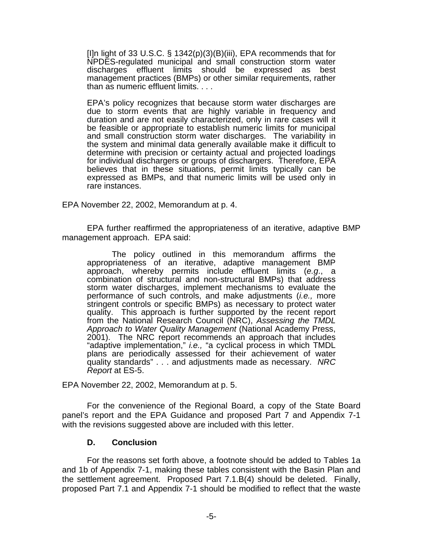[I]n light of 33 U.S.C. § 1342(p)(3)(B)(iii), EPA recommends that for NPDES-regulated municipal and small construction storm water discharges effluent limits should be expressed as best management practices (BMPs) or other similar requirements, rather than as numeric effluent limits. . . .

EPA's policy recognizes that because storm water discharges are due to storm events that are highly variable in frequency and duration and are not easily characterized, only in rare cases will it be feasible or appropriate to establish numeric limits for municipal and small construction storm water discharges. The variability in the system and minimal data generally available make it difficult to determine with precision or certainty actual and projected loadings for individual dischargers or groups of dischargers. Therefore, EPA believes that in these situations, permit limits typically can be expressed as BMPs, and that numeric limits will be used only in rare instances.

EPA November 22, 2002, Memorandum at p. 4.

EPA further reaffirmed the appropriateness of an iterative, adaptive BMP management approach. EPA said:

The policy outlined in this memorandum affirms the appropriateness of an iterative, adaptive management BMP approach, whereby permits include effluent limits (*e.g*., a combination of structural and non-structural BMPs) that address storm water discharges, implement mechanisms to evaluate the performance of such controls, and make adjustments (*i.e.,* more stringent controls or specific BMPs) as necessary to protect water quality. This approach is further supported by the recent report from the National Research Council (NRC), *Assessing the TMDL Approach to Water Quality Management* (National Academy Press, 2001). The NRC report recommends an approach that includes "adaptive implementation," *i.e.,* "a cyclical process in which TMDL plans are periodically assessed for their achievement of water quality standards" . . . and adjustments made as necessary. *NRC Report* at ES-5.

EPA November 22, 2002, Memorandum at p. 5.

For the convenience of the Regional Board, a copy of the State Board panel's report and the EPA Guidance and proposed Part 7 and Appendix 7-1 with the revisions suggested above are included with this letter.

#### **D. Conclusion**

For the reasons set forth above, a footnote should be added to Tables 1a and 1b of Appendix 7-1, making these tables consistent with the Basin Plan and the settlement agreement. Proposed Part 7.1.B(4) should be deleted. Finally, proposed Part 7.1 and Appendix 7-1 should be modified to reflect that the waste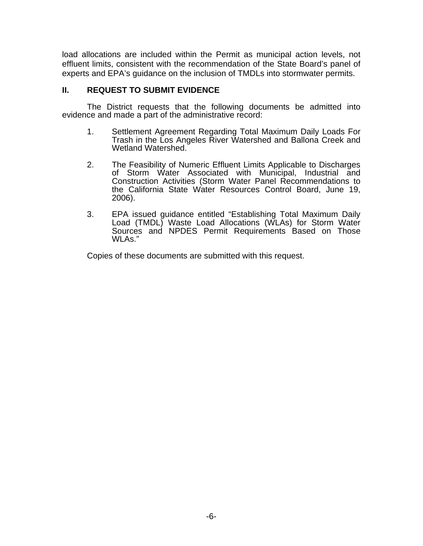load allocations are included within the Permit as municipal action levels, not effluent limits, consistent with the recommendation of the State Board's panel of experts and EPA's guidance on the inclusion of TMDLs into stormwater permits.

#### **II. REQUEST TO SUBMIT EVIDENCE**

 The District requests that the following documents be admitted into evidence and made a part of the administrative record:

- 1. Settlement Agreement Regarding Total Maximum Daily Loads For Trash in the Los Angeles River Watershed and Ballona Creek and Wetland Watershed.
- 2. The Feasibility of Numeric Effluent Limits Applicable to Discharges of Storm Water Associated with Municipal, Industrial and Construction Activities (Storm Water Panel Recommendations to the California State Water Resources Control Board, June 19, 2006).
- 3. EPA issued guidance entitled "Establishing Total Maximum Daily Load (TMDL) Waste Load Allocations (WLAs) for Storm Water Sources and NPDES Permit Requirements Based on Those WLAs."

Copies of these documents are submitted with this request.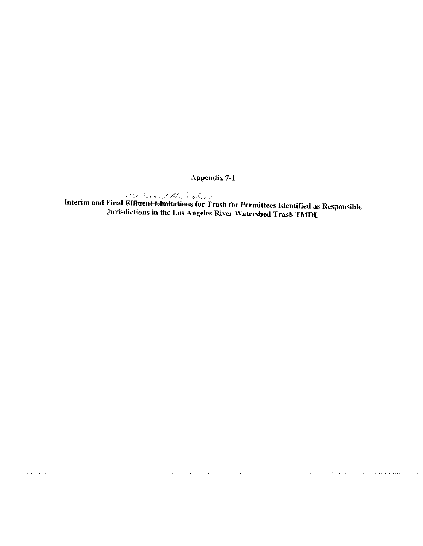Appendix 7-1

 $\omega_{\alpha}$ ,  $\beta$   $\beta$  is the set of  $\alpha$  and Final Effluent-Limitations for Trash for Permittees Identified as Responsible Jurisdictions in the Los Angeles River Watershed Trash TMDL

. . *. . . . . . . . . .* .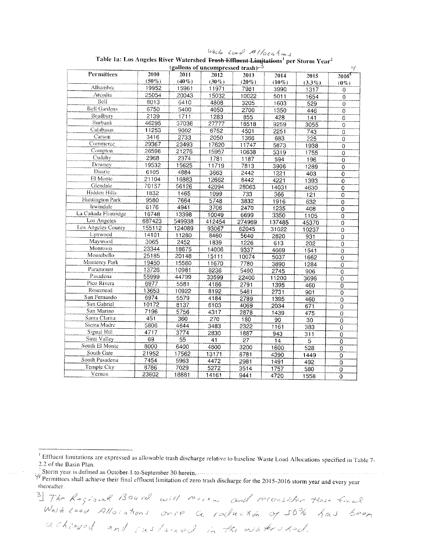|                      | иле та, коя тидется кого, массивоси <del>теами-енцент-вищино</del> ну рег могт хеат<br>(gallons of uncompressed trash)<br>$\mathcal{E}_{\mathcal{A}}$ |                 |          |          |          |           |                           |  |  |
|----------------------|-------------------------------------------------------------------------------------------------------------------------------------------------------|-----------------|----------|----------|----------|-----------|---------------------------|--|--|
| Permittees           | 2010                                                                                                                                                  | 2011            | 2012     | 2013     | 2014     | 2015      | $2016^{\circ}$            |  |  |
|                      | $(50\%)$                                                                                                                                              | $(40\%)$        | $(30\%)$ | $(20\%)$ | $(10\%)$ | $(3.3\%)$ | $(0\%)$                   |  |  |
| Alhambra             | 19952                                                                                                                                                 | 15961           | 11971    | 7981     | 3990     | 1317      | $\theta$                  |  |  |
| Arcadia              | 25054                                                                                                                                                 | 20043           | 15032    | 10022    | 5011     | 1654      | $\overline{0}$            |  |  |
| Bell                 | 8013                                                                                                                                                  | 6410            | 4808     | 3205     | 1603     | 529       | $\mathbf 0$               |  |  |
| <b>Bell Gardens</b>  | 6750                                                                                                                                                  | 5400            | 4050     | 2700     | 1350     | 446       | $\overline{0}$            |  |  |
| <b>Bradbury</b>      | 2139                                                                                                                                                  | 1711            | 1283     | 855      | 428      | 141       | 0                         |  |  |
| Burbank              | 46295                                                                                                                                                 | 37036           | 27777    | 18518    | 9259     | 3055      | $\overline{0}$            |  |  |
| Calabasas            | 11253                                                                                                                                                 | 9002            | 6752     | 4501     | 2251     | 743       | $\overline{0}$            |  |  |
| Carson               | 3416                                                                                                                                                  | 2733            | 2050     | 1366     | 683      | 225       | $\overline{0}$            |  |  |
| Commerce             | 29367                                                                                                                                                 | 23493           | 17620    | 11747    | 5873     | 1938      | $\pmb 0$                  |  |  |
| Compton              | 26596                                                                                                                                                 | 21276           | 15957    | 10638    | 5319     | 1755      | $\overline{0}$            |  |  |
| Cudahy               | 2968                                                                                                                                                  | 2374            | 1781     | 1187     | 594      | 196       | $\overline{0}$            |  |  |
| Downey               | 19532                                                                                                                                                 | 15625           | 11719    | 7813     | 3906     | 1289      | $\boldsymbol{0}$          |  |  |
| Duarte               | 6105                                                                                                                                                  | 4884            | 3663     | 2442     | 1221     | 403       | $\overline{O}$            |  |  |
| El Monte             | 21104                                                                                                                                                 | 16883           | 12662    | 8442     | 4221     | 1393      | 0                         |  |  |
| Glendale             | 70157                                                                                                                                                 | 56126           | 42094    | 28063    | 14031    | 4630      | $\overline{0}$            |  |  |
| Hidden Hills         | 1832                                                                                                                                                  | 1465            | 1099     | 733      | 366      | 121       | $\mathbf 0$               |  |  |
| Huntington Park      | 9580                                                                                                                                                  | 7664            | 5748     | 3832     | 1916     | 632       | 0                         |  |  |
| Irwindale            | 6176                                                                                                                                                  | 4941            | 3706     | 2470     | 1235     | 408       | $\overline{0}$            |  |  |
| La Cañada Flintridge | 16748                                                                                                                                                 | 13398           | 10049    | 6699     | 3350     | 1105      | $\overline{\mathfrak{o}}$ |  |  |
| Los Angeles          | 687423                                                                                                                                                | 549938          | 412454   | 274969   | 137485   | 45370     | 0                         |  |  |
| Los Angeles County   | 155112                                                                                                                                                | 124089          | 93067    | 62045    | 31022    | 10237     | $\overline{0}$            |  |  |
| Lynwood              | 14101                                                                                                                                                 | 11280           | 8460     | 5640     | 2820     | 931       | $\overline{0}$            |  |  |
| Maywood              | 3065                                                                                                                                                  | 2452            | 1839     | 1226     | 613      | 202       | 0                         |  |  |
| Monrovia             | 23344                                                                                                                                                 | 18675           | 14006    | 9337     | 4669     | 1541      | $\overline{0}$            |  |  |
| Montebello           | 25185                                                                                                                                                 | 20148           | 15111    | 10074    | 5037     | 1662      | $\overline{0}$            |  |  |
| Monterey Park        | 19450                                                                                                                                                 | 15560           | 11670    | 7780     | 3890     | 1284      | $\ddot{0}$                |  |  |
| Paramount            | 13726                                                                                                                                                 | 10981           | 8236     | 5490     | 2745     | 906       | $\overline{0}$            |  |  |
| Pasadena             | 55999                                                                                                                                                 | 44799           | 33599    | 22400    | 11200    | 3696      | $\overline{0}$            |  |  |
| Pico Rivera          | 6977                                                                                                                                                  | 5581            | 4186     | 2791     | 1395     | 460       | $\overline{0}$            |  |  |
| Rosemead             | 13653                                                                                                                                                 | 10922           | 8192     | 5461     | 2731     | 901       | $\overline{0}$            |  |  |
| San Fernando         | 6974                                                                                                                                                  | 5579            | 4184     | 2789     | 1395     | 460       | $\overline{0}$            |  |  |
| San Gabriel          | 10172                                                                                                                                                 | 8137            | 6103     | 4069     | 2034     | 671       | $\overline{0}$            |  |  |
| San Marino           | 7196                                                                                                                                                  | 5756            | 4317     | 2878     | 1439     | 475       | $\overline{\mathrm{o}}$   |  |  |
| Santa Clarita        | 451                                                                                                                                                   | 360             | 270      | 180      | 90       | 30        | 0                         |  |  |
| Sierra Madre         | 5806                                                                                                                                                  | 4644            | 3483     | 2322     | 1161     | 383       | $\overline{0}$            |  |  |
| Signal Hill          | 4717                                                                                                                                                  | 3774            | 2830     | 1887     | 943      | 311       | $\overline{\mathfrak{o}}$ |  |  |
| Simi Valley          | 69                                                                                                                                                    | $\overline{55}$ | 41       | 27       | 14       | 5         | $\mathbf 0$               |  |  |
| South El Monte       | 8000                                                                                                                                                  | 6400            | 4800     | 3200     | 1600     | 528       | $\overline{0}$            |  |  |
| South Gate           | 21952                                                                                                                                                 | 17562           | 13171    | 8781     | 4390     | 1449      | $\overline{0}$            |  |  |
| South Pasadena       | 7454                                                                                                                                                  | 5963            | 4472     | 2981     | 1491     | 492       | 0                         |  |  |
| Temple City          | 8786                                                                                                                                                  | 7029            | 5272     | 3514     | 1757     | 580       | $\overline{0}$            |  |  |
| Vemon                | 23602                                                                                                                                                 | 18881           | 14161    | 9441     | 4720     | 1558      | $\overline{\Omega}$       |  |  |

 $\frac{log_{16}}{log_{16}}$  for  $\frac{D}{2}$  //ock  $\frac{A}{log_{16}}$ <br>Table 1a: Los Angeles River Watershed Frash Effluent Limitations<sup>1</sup> no  $\mathbf{a}$  $\mathbf{r}$ 

<sup>1</sup> Effluent limitations are expressed as allowable trash discharge relative to baseline Waste Load Allocations specified in Table 7-2.2 of the Basin Plan.

Storm year is defined as October 1 to September 30 herein.<br>  $\frac{1}{\sqrt{2}}$ Storm year is defined as October 1 to September 30 herein.<br>
Permittees shall achieve their final effluent limitation of zero trash discharge for the thereafter.

3) The Rogianal Board with review and reconsider these funal Wash Loan Allocations once a roduction of 50% has been achieved and sustained in the watershed.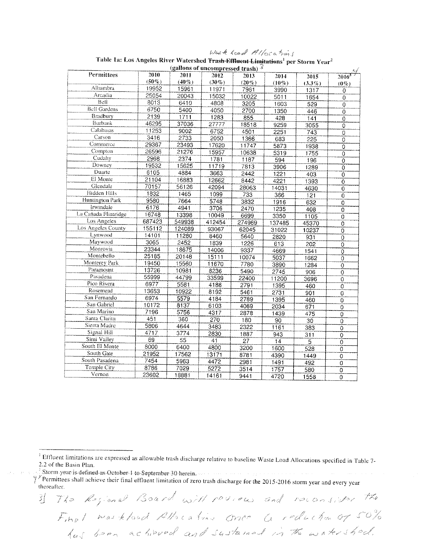Waste Load Allocations

| (gallons of uncompressed trash) $\mathcal{L}$ |          |                 |          |                 |                 |                 |                           |  |  |  |  |  |
|-----------------------------------------------|----------|-----------------|----------|-----------------|-----------------|-----------------|---------------------------|--|--|--|--|--|
| Permittees                                    | 2010     | 2011            | 2012     | 2013            | 2014            | 2015            | 2016                      |  |  |  |  |  |
|                                               | $(50\%)$ | $(40\%)$        | $(30\%)$ | $(20\%)$        | $(10\%)$        | $(3.3\%)$       | $(0\%)$                   |  |  |  |  |  |
| Alhambra                                      | 19952    | 15961           | 11971    | 7981            | 3990            | 1317            | $\circ$                   |  |  |  |  |  |
| Arcadia                                       | 25054    | 20043           | 15032    | 10022           | 5011            | 1654            | $\overline{0}$            |  |  |  |  |  |
| Bell                                          | 8013     | 6410            | 4808     | 3205            | 1603            | 529             | 0                         |  |  |  |  |  |
| <b>Bell Gardens</b>                           | 6750     | 5400            | 4050     | 2700            | 1350            | 446             | $\mathbf 0$               |  |  |  |  |  |
| Bradbury                                      | 2139     | 1711            | 1283     | 855             | 428             | 141             | $\overline{\overline{o}}$ |  |  |  |  |  |
| Burbank                                       | 46295    | 37036           | 27777    | 18518           | 9259            | 3055            | $\overline{0}$            |  |  |  |  |  |
| Calabasas                                     | 11253    | 9002            | 6752     | 4501            | 2251            | 743             | $\overline{0}$            |  |  |  |  |  |
| Carson                                        | 3416     | 2733            | 2050     | 1366            | 683             | 225             | $\mathsf{O}\xspace$       |  |  |  |  |  |
| Commerce                                      | 29367    | 23493           | 17620    | 11747           | 5873            | 1938            | 0                         |  |  |  |  |  |
| Compton                                       | 26596    | 21276           | 15957    | 10638           | 5319            | 1755            | $\overline{0}$            |  |  |  |  |  |
| Cudahy                                        | 2968     | 2374            | 1781     | 1187            | 594             | 196             | $\overline{0}$            |  |  |  |  |  |
| Downey                                        | 19532    | 15625           | 11719    | 7813            | 3906            | 1289            | $\boldsymbol{0}$          |  |  |  |  |  |
| Duarte                                        | 6105     | 4884            | 3663     | 2442            | 1221            | 403             | $\theta$                  |  |  |  |  |  |
| El Monte                                      | 21104    | 16883           | 12662    | 8442            | 4221            | 1393            | $\theta$                  |  |  |  |  |  |
| Glendale                                      | 70157    | 56126           | 42094    | 28063           | 14031           | 4630            | $\overline{0}$            |  |  |  |  |  |
| Hidden Hills                                  | 1832     | 1465            | 1099     | 733             | 366             | 121             | $\overline{0}$            |  |  |  |  |  |
| Huntington Park                               | 9580     | 7664            | 5748     | 3832            | 1916            | 632             | $\overline{\mathfrak{o}}$ |  |  |  |  |  |
| Irwindale                                     | 6176     | 4941            | 3706     | 2470            | 1235            | 408             | $\mathbf 0$               |  |  |  |  |  |
| La Cañada Flintridge                          | 16748    | 13398           | 10049    | 6699            | 3350            | 1105            | $\sigma$                  |  |  |  |  |  |
| Los Angeles                                   | 687423   | 549938          | 412454   | 274969          | 137485          | 45370           | $\overline{0}$            |  |  |  |  |  |
| Los Angeles County                            | 155112   | 124089          | 93067    | 62045           | 31022           | 10237           | 0                         |  |  |  |  |  |
| Lynwood                                       | 14101    | 11280           | 8460     | 5640            | 2820            | 931             | 0                         |  |  |  |  |  |
| Maywood                                       | 3065     | 2452            | 1839     | 1226            | 613             | 202             | 0                         |  |  |  |  |  |
| Monrovia                                      | 23344    | 18675           | 14006    | 9337            | 4669            | 1541            | 0                         |  |  |  |  |  |
| Montebello                                    | 25185    | 20148           | 15111    | 10074           | 5037            | 1662            | $\mathbb O$               |  |  |  |  |  |
| Monterey Park                                 | 19450    | 15560           | 11670    | 7780            | 3890            | 1284            | $\overline{0}$            |  |  |  |  |  |
| Paramount                                     | 13726    | 10981           | 8236     | 5490            | 2745            | 906             | $\mathbf 0$               |  |  |  |  |  |
| Pasadena                                      | 55999    | 44799           | 33599    | 22400           | 11200           | 3696            | $\mathbf 0$               |  |  |  |  |  |
| Pico Rivera                                   | 6977     | 5581            | 4186     | 2791            | 1395            | 460             | 0                         |  |  |  |  |  |
| Rosemead                                      | 13653    | 10922           | 8192     | 5461            | 2731            | 901             | 0                         |  |  |  |  |  |
| San Fernando                                  | 6974     | 5579            | 4184     | 2789            | 1395            | 460             | $\overline{0}$            |  |  |  |  |  |
| San Gabriel                                   | 10172    | 8137            | 6103     | 4069            | 2034            | 671             | 0                         |  |  |  |  |  |
| San Marino                                    | 7196     | 5756            | 4317     | 2878            | 1439            | 475             | 0                         |  |  |  |  |  |
| Santa Clarita                                 | 451      | 360             | 270      | 180             | $\overline{90}$ | $\overline{30}$ | $\overline{0}$            |  |  |  |  |  |
| Sierra Madre                                  | 5806     | 4644            | 3483     | 2322            | 1161            | 383             | ō                         |  |  |  |  |  |
| Signal Hill                                   | 4717     | 3774            | 2830     | 1887            | 943             | 311             | 0                         |  |  |  |  |  |
| Simi Valley                                   | 69       | $\overline{55}$ | 41       | $\overline{27}$ | 14              | $\overline{5}$  | $\overline{0}$            |  |  |  |  |  |
| South El Monte                                | 8000     | 6400            | 4800     | 3200            | 1600            | 528             | 0                         |  |  |  |  |  |
| South Gate                                    | 21952    | 17562           | 13171    | 8781            | 4390            | 1449            | 0                         |  |  |  |  |  |
| South Pasadena                                | 7454     | 5963            | 4472     | 2981            | 1491            | 492             | $\overline{0}$            |  |  |  |  |  |
| Temple City                                   | 8786     | 7029            | 5272     | 3514            | 1757            | 580             | $\overline{\mathfrak{o}}$ |  |  |  |  |  |
| Vernon                                        | 23602    | 18881           | 14161    | 9441            | 4720            | 1558            | $\overline{0}$            |  |  |  |  |  |
|                                               |          |                 |          |                 |                 |                 |                           |  |  |  |  |  |

Table 1a: Los Angeles River Watershed Trash-Effluent Limitations<sup>1</sup> per Storm Year<sup>2</sup>

Storm year-is defined as October-1 to-September 30 herein.

y Permittees shall achieve their final effluent limitation of zero trash discharge for the 2015-2016 storm year and every year thereafter.

3) The Regional Board will review and reconsider the Final was kloud Allocations once a reduction of 50% hus been actioned and sustained in the watershed.

<sup>&</sup>lt;sup>1</sup> Effluent limitations are expressed as allowable trash discharge relative to baseline Waste Load Allocations specified in Table 7-2.2 of the Basin Plan.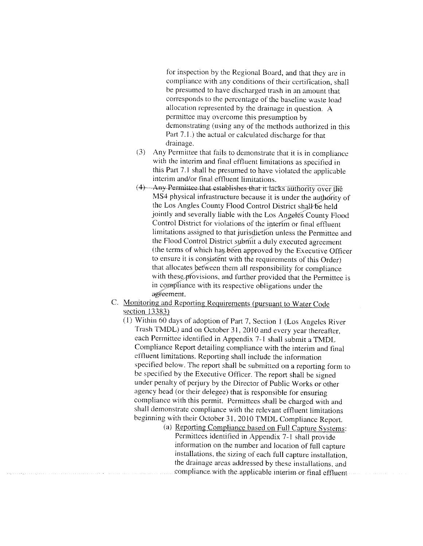for inspection by the Regional Board, and that they are in compliance with any conditions of their certification, shall be presumed to have discharged trash in an amount that corresponds to the percentage of the baseline waste load allocation represented by the drainage in question. A permittee may overcome this presumption by demonstrating (using any of the methods authorized in this Part 7.1.) the actual or calculated discharge for that drainage.

- (3) Any Permittee that fails to demonstrate that it is in compliance with the interim and final effluent limitations as specified in this Part 7.1 shall be presumed to have violated the applicable interim and/or final effluent limitations.
- (4) Any Permittee that establishes that it facks authority over the MS4 physical infrastructure because it is under the authority of the Los Angles County Flood Control District shall be held jointly and severally liable with the Los Angeles County Flood Control District for violations of the interim or final effluent limitations assigned to that jurisdiction unless the Permittee and the Flood Control District submit a duly executed agreement (the terms of which has been approved by the Executive Officer to ensure it is consistent with the requirements of this Order) that allocates between them all responsibility for compliance with these provisions, and further provided that the Permittee is in compliance with its respective obligations under the agreement.
- C. Monitoring and Reporting Requirements (pursuant to Water Code section 13383)
	- (1) Within 60 days of adoption of Part 7, Section 1 (Los Angeles River Trash TMDL) and on October 31, 2010 and every year thereafter, each Permittee identified in Appendix 7-1 shall submit a TMDL Compliance Report detailing compliance with the interim and final effluent limitations. Reporting shall include the information specified below. The report shall be submitted on a reporting form to be specified by the Executive Officer. The report shall be signed under penalty of perjury by the Director of Public Works or other agency head (or their delegee) that is responsible for ensuring compliance with this permit. Permittees shall be charged with and shall demonstrate compliance with the relevant effluent limitations beginning with their October 31, 2010 TMDL Compliance Report.
		- (a) Reporting Compliance based on Full Capture Systems: Permittees identified in Appendix 7-1 shall provide information on the number and location of full capture installations, the sizing of each full capture installation. the drainage areas addressed by these installations, and compliance with the applicable interim or final effluent.